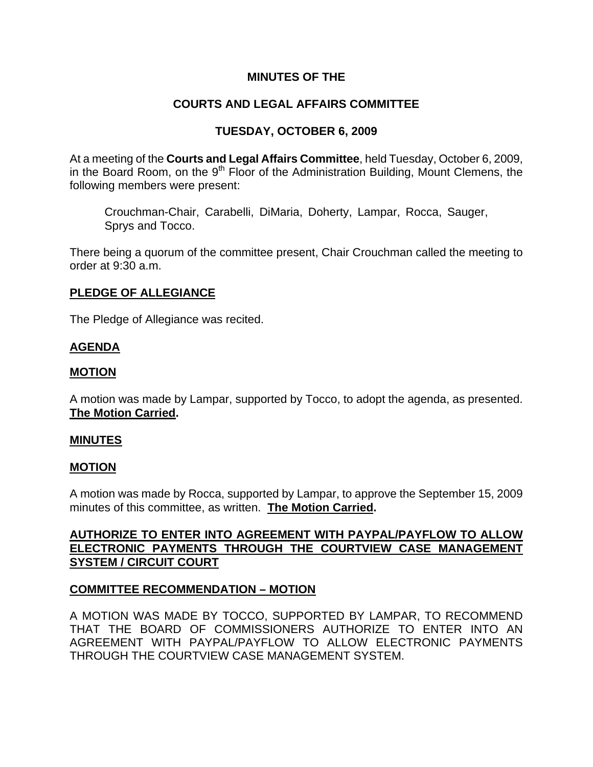### **MINUTES OF THE**

## **COURTS AND LEGAL AFFAIRS COMMITTEE**

### **TUESDAY, OCTOBER 6, 2009**

At a meeting of the **Courts and Legal Affairs Committee**, held Tuesday, October 6, 2009, in the Board Room, on the 9<sup>th</sup> Floor of the Administration Building, Mount Clemens, the following members were present:

Crouchman-Chair, Carabelli, DiMaria, Doherty, Lampar, Rocca, Sauger, Sprys and Tocco.

There being a quorum of the committee present, Chair Crouchman called the meeting to order at 9:30 a.m.

#### **PLEDGE OF ALLEGIANCE**

The Pledge of Allegiance was recited.

## **AGENDA**

### **MOTION**

A motion was made by Lampar, supported by Tocco, to adopt the agenda, as presented. **The Motion Carried.** 

#### **MINUTES**

### **MOTION**

A motion was made by Rocca, supported by Lampar, to approve the September 15, 2009 minutes of this committee, as written. **The Motion Carried.** 

## **AUTHORIZE TO ENTER INTO AGREEMENT WITH PAYPAL/PAYFLOW TO ALLOW ELECTRONIC PAYMENTS THROUGH THE COURTVIEW CASE MANAGEMENT SYSTEM / CIRCUIT COURT**

### **COMMITTEE RECOMMENDATION – MOTION**

A MOTION WAS MADE BY TOCCO, SUPPORTED BY LAMPAR, TO RECOMMEND THAT THE BOARD OF COMMISSIONERS AUTHORIZE TO ENTER INTO AN AGREEMENT WITH PAYPAL/PAYFLOW TO ALLOW ELECTRONIC PAYMENTS THROUGH THE COURTVIEW CASE MANAGEMENT SYSTEM.